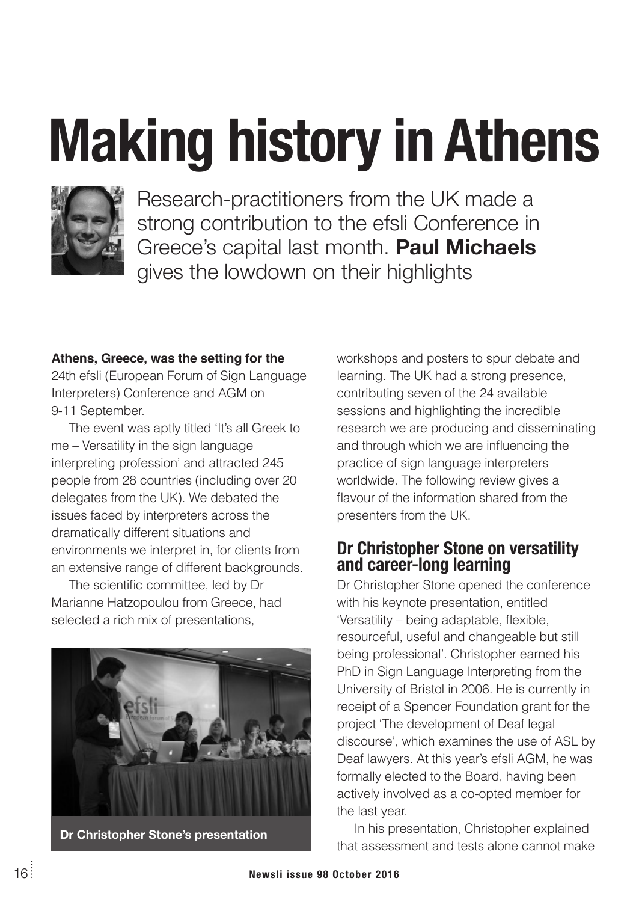# **Making history in Athens**



Research-practitioners from the UK made a strong contribution to the efsli Conference in Greece's capital last month. **Paul Michaels** gives the lowdown on their highlights

#### **Athens, Greece, was the setting for the**

24th efsli (European Forum of Sign Language Interpreters) Conference and AGM on 9-11 September.

The event was aptly titled 'It's all Greek to me – Versatility in the sign language interpreting profession' and attracted 245 people from 28 countries (including over 20 delegates from the UK). We debated the issues faced by interpreters across the dramatically different situations and environments we interpret in, for clients from an extensive range of different backgrounds.

The scientific committee, led by Dr Marianne Hatzopoulou from Greece, had selected a rich mix of presentations.



**Dr Christopher Stone's presentation**

workshops and posters to spur debate and learning. The UK had a strong presence, contributing seven of the 24 available sessions and highlighting the incredible research we are producing and disseminating and through which we are influencing the practice of sign language interpreters worldwide. The following review gives a flavour of the information shared from the presenters from the UK.

### **Dr Christopher Stone on versatility and career-long learning**

Dr Christopher Stone opened the conference with his keynote presentation, entitled 'Versatility – being adaptable, flexible, resourceful, useful and changeable but still being professional'. Christopher earned his PhD in Sign Language Interpreting from the University of Bristol in 2006. He is currently in receipt of a Spencer Foundation grant for the project 'The development of Deaf legal discourse', which examines the use of ASL by Deaf lawyers. At this year's efsli AGM, he was formally elected to the Board, having been actively involved as a co-opted member for the last year.

In his presentation, Christopher explained that assessment and tests alone cannot make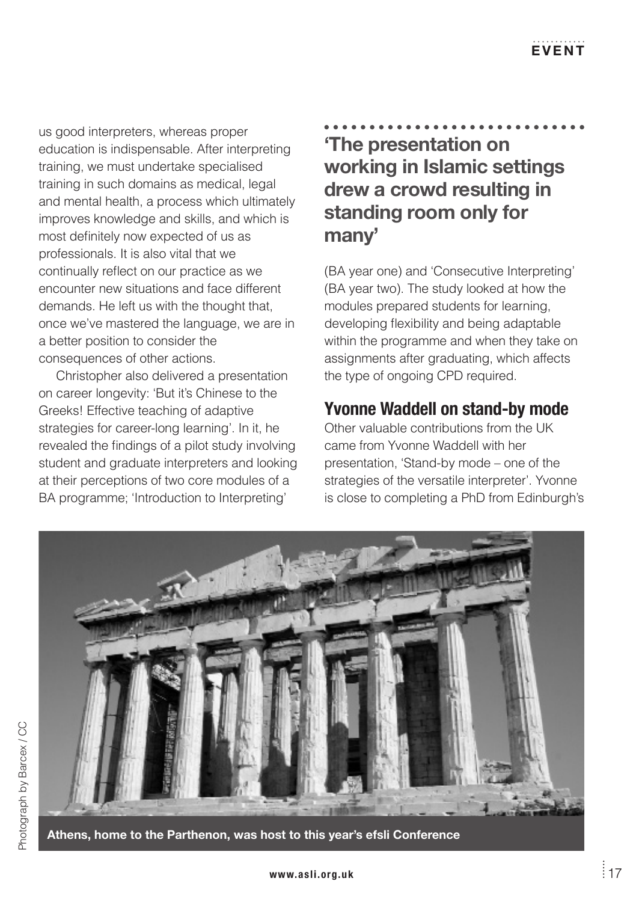us good interpreters, whereas proper education is indispensable. After interpreting training, we must undertake specialised training in such domains as medical, legal and mental health, a process which ultimately improves knowledge and skills, and which is most definitely now expected of us as professionals. It is also vital that we continually reflect on our practice as we encounter new situations and face different demands. He left us with the thought that, once we've mastered the language, we are in a better position to consider the consequences of other actions.

Christopher also delivered a presentation on career longevity: 'But it's Chinese to the Greeks! Effective teaching of adaptive strategies for career-long learning'. In it, he revealed the findings of a pilot study involving student and graduate interpreters and looking at their perceptions of two core modules of a BA programme; 'Introduction to Interpreting'

**'The presentation on working in Islamic settings drew a crowd resulting in standing room only for many'**

(BA year one) and 'Consecutive Interpreting' (BA year two). The study looked at how the modules prepared students for learning, developing flexibility and being adaptable within the programme and when they take on assignments after graduating, which affects the type of ongoing CPD required.

# **Yvonne Waddell on stand-by mode**

Other valuable contributions from the UK came from Yvonne Waddell with her presentation, 'Stand-by mode – one of the strategies of the versatile interpreter'. Yvonne is close to completing a PhD from Edinburgh's

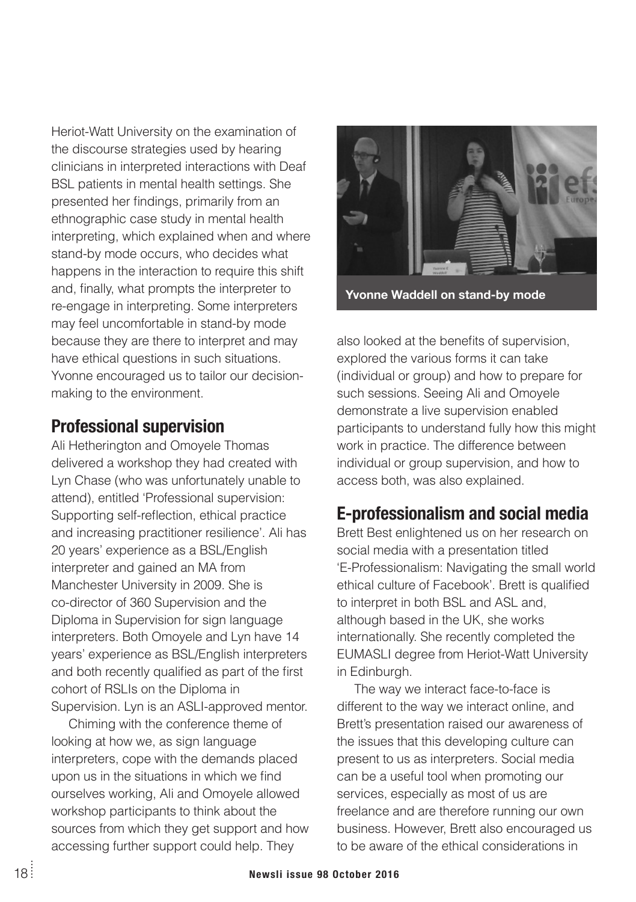Heriot-Watt University on the examination of the discourse strategies used by hearing clinicians in interpreted interactions with Deaf BSL patients in mental health settings. She presented her findings, primarily from an ethnographic case study in mental health interpreting, which explained when and where stand-by mode occurs, who decides what happens in the interaction to require this shift and, finally, what prompts the interpreter to re-engage in interpreting. Some interpreters may feel uncomfortable in stand-by mode because they are there to interpret and may have ethical questions in such situations. Yvonne encouraged us to tailor our decisionmaking to the environment.

## **Professional supervision**

Ali Hetherington and Omoyele Thomas delivered a workshop they had created with Lyn Chase (who was unfortunately unable to attend), entitled 'Professional supervision: Supporting self-reflection, ethical practice and increasing practitioner resilience'. Ali has 20 years' experience as a BSL/English interpreter and gained an MA from Manchester University in 2009. She is co-director of 360 Supervision and the Diploma in Supervision for sign language interpreters. Both Omoyele and Lyn have 14 years' experience as BSL/English interpreters and both recently qualified as part of the first cohort of RSLIs on the Diploma in Supervision. Lyn is an ASLI-approved mentor.

Chiming with the conference theme of looking at how we, as sign language interpreters, cope with the demands placed upon us in the situations in which we find ourselves working, Ali and Omoyele allowed workshop participants to think about the sources from which they get support and how accessing further support could help. They



**Yvonne Waddell on stand-by mode**

also looked at the benefits of supervision, explored the various forms it can take (individual or group) and how to prepare for such sessions. Seeing Ali and Omoyele demonstrate a live supervision enabled participants to understand fully how this might work in practice. The difference between individual or group supervision, and how to access both, was also explained.

# **E-professionalism and social media**

Brett Best enlightened us on her research on social media with a presentation titled 'E-Professionalism: Navigating the small world ethical culture of Facebook'. Brett is qualified to interpret in both BSL and ASL and, although based in the UK, she works internationally. She recently completed the EUMASLI degree from Heriot-Watt University in Edinburgh.

The way we interact face-to-face is different to the way we interact online, and Brett's presentation raised our awareness of the issues that this developing culture can present to us as interpreters. Social media can be a useful tool when promoting our services, especially as most of us are freelance and are therefore running our own business. However, Brett also encouraged us to be aware of the ethical considerations in